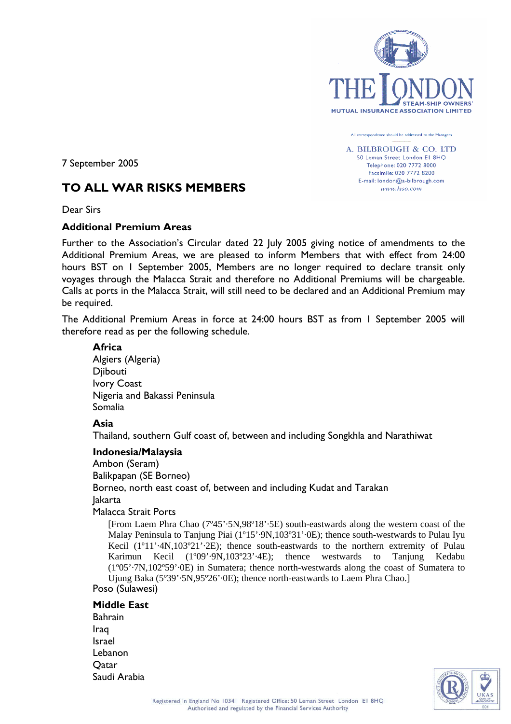

All correspondence should be addressed to the Managers A. BILBROUGH & CO. LTD 50 Leman Street London El 8HO Telephone: 020 7772 8000 Facsimile: 020 7772 8200 E-mail: london@a-bilbrough.com  $www. lso.com$ 

7 September 2005

# **TO ALL WAR RISKS MEMBERS**

Dear Sirs

#### **Additional Premium Areas**

Further to the Association's Circular dated 22 July 2005 giving notice of amendments to the Additional Premium Areas, we are pleased to inform Members that with effect from 24:00 hours BST on 1 September 2005, Members are no longer required to declare transit only voyages through the Malacca Strait and therefore no Additional Premiums will be chargeable. Calls at ports in the Malacca Strait, will still need to be declared and an Additional Premium may be required.

The Additional Premium Areas in force at 24:00 hours BST as from 1 September 2005 will therefore read as per the following schedule.

# **Africa**

Algiers (Algeria) Djibouti Ivory Coast Nigeria and Bakassi Peninsula Somalia

### **Asia**

Thailand, southern Gulf coast of, between and including Songkhla and Narathiwat

### **Indonesia/Malaysia**

Ambon (Seram) Balikpapan (SE Borneo) Borneo, north east coast of, between and including Kudat and Tarakan Jakarta Malacca Strait Ports

[From Laem Phra Chao (7º45'·5N,98º18'·5E) south-eastwards along the western coast of the Malay Peninsula to Tanjung Piai (1º15'·9N,103º31'·0E); thence south-westwards to Pulau Iyu Kecil (1°11'-4N,103°21'-2E); thence south-eastwards to the northern extremity of Pulau Karimun Kecil (1º09'·9N,103º23'·4E); thence westwards to Tanjung Kedabu (1º05'·7N,102º59'·0E) in Sumatera; thence north-westwards along the coast of Sumatera to Ujung Baka (5º39'·5N,95º26'·0E); thence north-eastwards to Laem Phra Chao.] Poso (Sulawesi)

### **Middle East**

Bahrain Iraq Israel Lebanon **O**atar Saudi Arabia